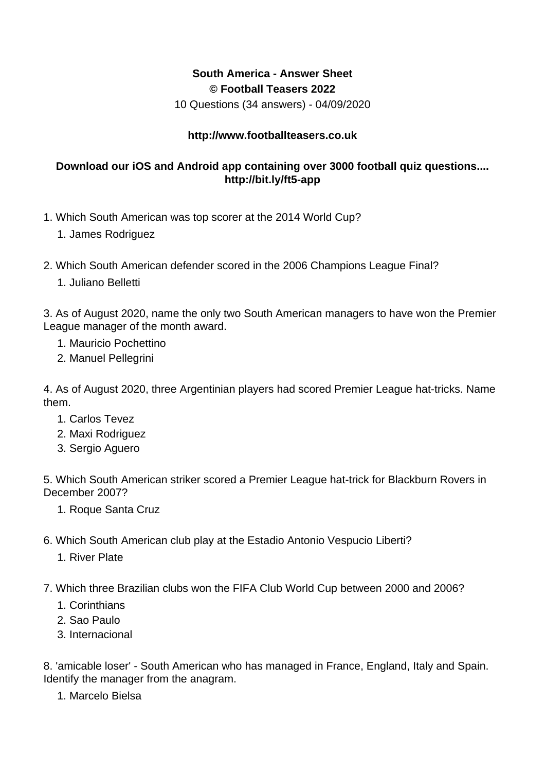## **South America - Answer Sheet © Football Teasers 2022**

10 Questions (34 answers) - 04/09/2020

## **http://www.footballteasers.co.uk**

## **Download our iOS and Android app containing over 3000 football quiz questions.... http://bit.ly/ft5-app**

- 1. Which South American was top scorer at the 2014 World Cup?
	- 1. James Rodriguez
- 2. Which South American defender scored in the 2006 Champions League Final?
	- 1. Juliano Belletti

3. As of August 2020, name the only two South American managers to have won the Premier League manager of the month award.

- 1. Mauricio Pochettino
- 2. Manuel Pellegrini

4. As of August 2020, three Argentinian players had scored Premier League hat-tricks. Name them.

- 1. Carlos Tevez
- 2. Maxi Rodriguez
- 3. Sergio Aguero

5. Which South American striker scored a Premier League hat-trick for Blackburn Rovers in December 2007?

- 1. Roque Santa Cruz
- 6. Which South American club play at the Estadio Antonio Vespucio Liberti?
	- 1. River Plate
- 7. Which three Brazilian clubs won the FIFA Club World Cup between 2000 and 2006?
	- 1. Corinthians
	- 2. Sao Paulo
	- 3. Internacional

8. 'amicable loser' - South American who has managed in France, England, Italy and Spain. Identify the manager from the anagram.

1. Marcelo Bielsa